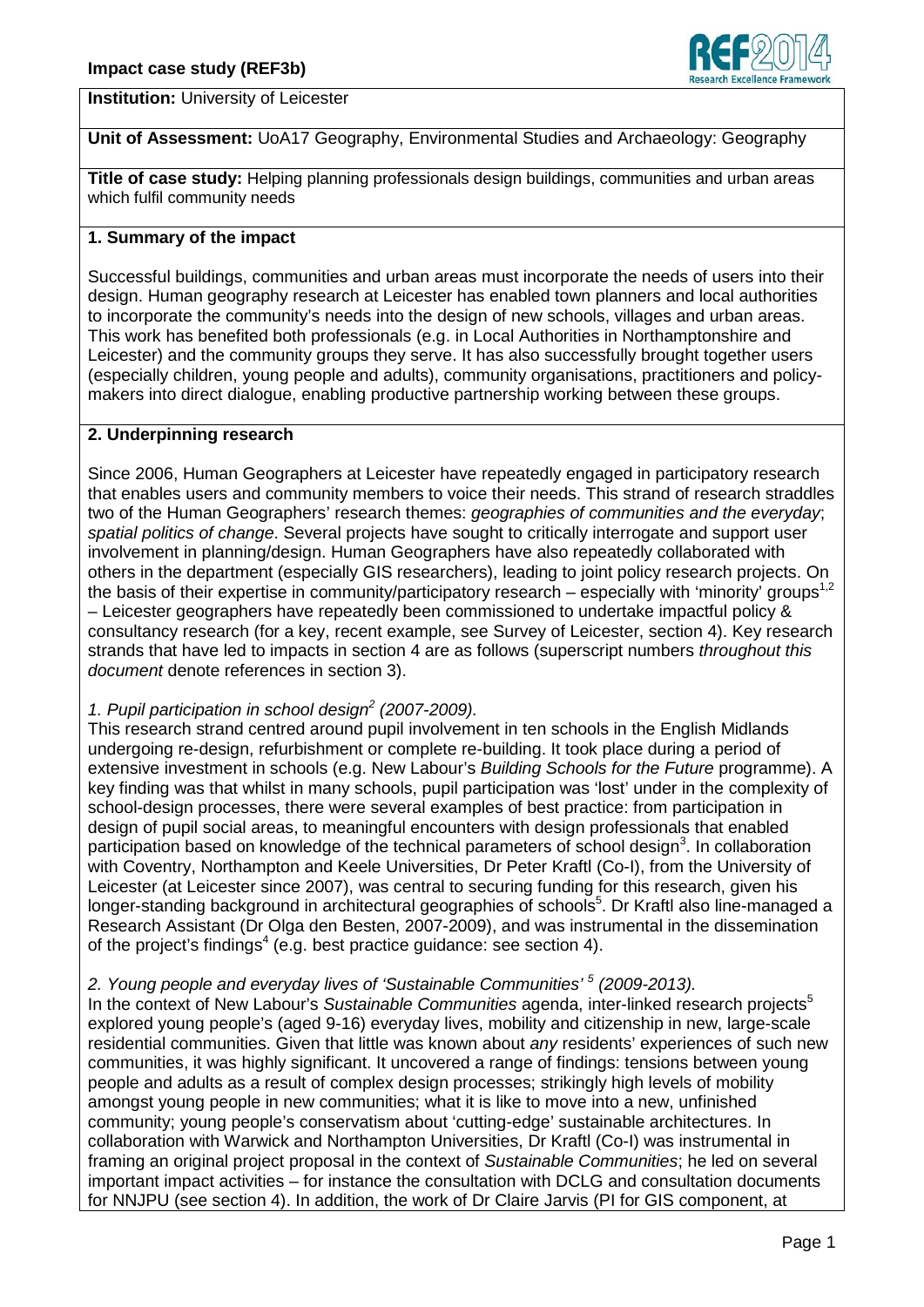

**Institution:** University of Leicester

**Unit of Assessment:** UoA17 Geography, Environmental Studies and Archaeology: Geography

**Title of case study:** Helping planning professionals design buildings, communities and urban areas which fulfil community needs

## **1. Summary of the impact**

Successful buildings, communities and urban areas must incorporate the needs of users into their design. Human geography research at Leicester has enabled town planners and local authorities to incorporate the community's needs into the design of new schools, villages and urban areas. This work has benefited both professionals (e.g. in Local Authorities in Northamptonshire and Leicester) and the community groups they serve. It has also successfully brought together users (especially children, young people and adults), community organisations, practitioners and policymakers into direct dialogue, enabling productive partnership working between these groups.

## **2. Underpinning research**

Since 2006, Human Geographers at Leicester have repeatedly engaged in participatory research that enables users and community members to voice their needs. This strand of research straddles two of the Human Geographers' research themes: *geographies of communities and the everyday*; *spatial politics of change*. Several projects have sought to critically interrogate and support user involvement in planning/design. Human Geographers have also repeatedly collaborated with others in the department (especially GIS researchers), leading to joint policy research projects. On the basis of their expertise in community/participatory research – especially with 'minority' groups<sup>1,2</sup> – Leicester geographers have repeatedly been commissioned to undertake impactful policy & consultancy research (for a key, recent example, see Survey of Leicester, section 4). Key research strands that have led to impacts in section 4 are as follows (superscript numbers *throughout this document* denote references in section 3).

# *1. Pupil participation in school design<sup>2</sup> (2007-2009).*

This research strand centred around pupil involvement in ten schools in the English Midlands undergoing re-design, refurbishment or complete re-building. It took place during a period of extensive investment in schools (e.g. New Labour's *Building Schools for the Future* programme). A key finding was that whilst in many schools, pupil participation was 'lost' under in the complexity of school-design processes, there were several examples of best practice: from participation in design of pupil social areas, to meaningful encounters with design professionals that enabled participation based on knowledge of the technical parameters of school design<sup>3</sup>. In collaboration with Coventry, Northampton and Keele Universities, Dr Peter Kraftl (Co-I), from the University of Leicester (at Leicester since 2007), was central to securing funding for this research, given his longer-standing background in architectural geographies of schools<sup>5</sup>. Dr Kraftl also line-managed a Research Assistant (Dr Olga den Besten, 2007-2009), and was instrumental in the dissemination of the project's findings<sup>4</sup> (e.g. best practice quidance: see section 4).

## *2. Young people and everyday lives of 'Sustainable Communities' <sup>5</sup> (2009-2013).*

In the context of New Labour's *Sustainable Communities* agenda, inter-linked research projects<sup>5</sup> explored young people's (aged 9-16) everyday lives, mobility and citizenship in new, large-scale residential communities. Given that little was known about *any* residents' experiences of such new communities, it was highly significant. It uncovered a range of findings: tensions between young people and adults as a result of complex design processes; strikingly high levels of mobility amongst young people in new communities; what it is like to move into a new, unfinished community; young people's conservatism about 'cutting-edge' sustainable architectures. In collaboration with Warwick and Northampton Universities, Dr Kraftl (Co-I) was instrumental in framing an original project proposal in the context of *Sustainable Communities*; he led on several important impact activities – for instance the consultation with DCLG and consultation documents for NNJPU (see section 4). In addition, the work of Dr Claire Jarvis (PI for GIS component, at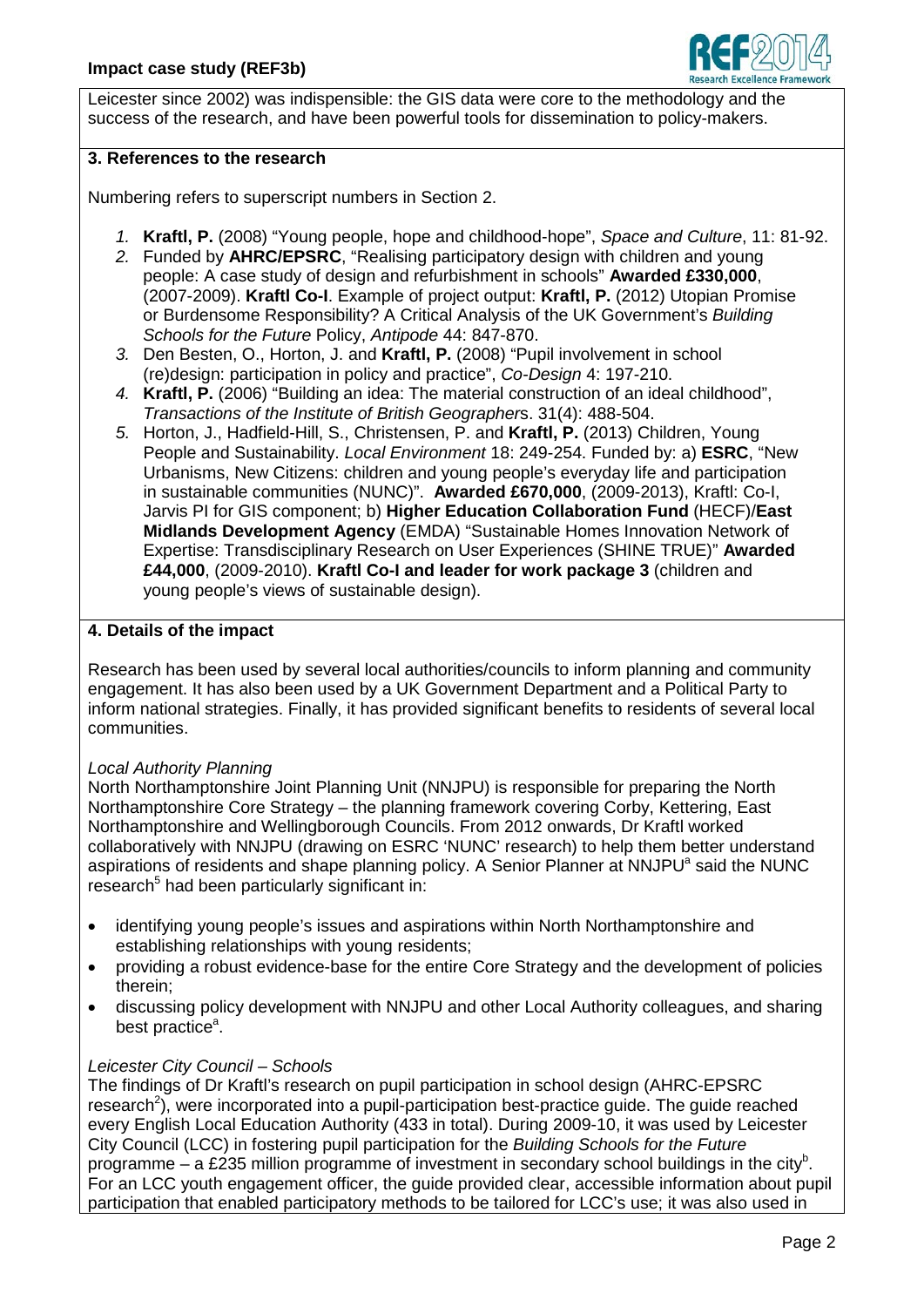

Leicester since 2002) was indispensible: the GIS data were core to the methodology and the success of the research, and have been powerful tools for dissemination to policy-makers.

### **3. References to the research**

Numbering refers to superscript numbers in Section 2.

- *1.* **Kraftl, P.** (2008) "Young people, hope and childhood-hope", *Space and Culture*, 11: 81-92.
- *2.* Funded by **AHRC/EPSRC**, "Realising participatory design with children and young people: A case study of design and refurbishment in schools" **Awarded £330,000**, (2007-2009). **Kraftl Co-I**. Example of project output: **Kraftl, P.** (2012) Utopian Promise or Burdensome Responsibility? A Critical Analysis of the UK Government's *Building Schools for the Future* Policy, *Antipode* 44: 847-870.
- *3.* Den Besten, O., Horton, J. and **Kraftl, P.** (2008) "Pupil involvement in school (re)design: participation in policy and practice", *Co-Design* 4: 197-210.
- *4.* **Kraftl, P.** (2006) "Building an idea: The material construction of an ideal childhood", *Transactions of the Institute of British Geographer*s. 31(4): 488-504.
- *5.* Horton, J., Hadfield-Hill, S., Christensen, P. and **Kraftl, P.** (2013) Children, Young People and Sustainability. *Local Environment* 18: 249-254. Funded by: a) **ESRC**, "New Urbanisms, New Citizens: children and young people's everyday life and participation in sustainable communities (NUNC)". **Awarded £670,000**, (2009-2013), Kraftl: Co-I, Jarvis PI for GIS component; b) **Higher Education Collaboration Fund** (HECF)/**East Midlands Development Agency** (EMDA) "Sustainable Homes Innovation Network of Expertise: Transdisciplinary Research on User Experiences (SHINE TRUE)" **Awarded £44,000**, (2009-2010). **Kraftl Co-I and leader for work package 3** (children and young people's views of sustainable design).

### **4. Details of the impact**

Research has been used by several local authorities/councils to inform planning and community engagement. It has also been used by a UK Government Department and a Political Party to inform national strategies. Finally, it has provided significant benefits to residents of several local communities.

#### *Local Authority Planning*

North Northamptonshire Joint Planning Unit (NNJPU) is responsible for preparing the North Northamptonshire Core Strategy – the planning framework covering Corby, Kettering, East Northamptonshire and Wellingborough Councils. From 2012 onwards, Dr Kraftl worked collaboratively with NNJPU (drawing on ESRC 'NUNC' research) to help them better understand aspirations of residents and shape planning policy. A Senior Planner at NNJPU<sup>a</sup> said the NUNC research<sup>5</sup> had been particularly significant in:

- identifying young people's issues and aspirations within North Northamptonshire and establishing relationships with young residents;
- providing a robust evidence-base for the entire Core Strategy and the development of policies therein;
- discussing policy development with NNJPU and other Local Authority colleagues, and sharing best practice<sup>a</sup>.

## *Leicester City Council – Schools*

The findings of Dr Kraftl's research on pupil participation in school design (AHRC-EPSRC research<sup>2</sup>), were incorporated into a pupil-participation best-practice guide. The guide reached every English Local Education Authority (433 in total). During 2009-10, it was used by Leicester City Council (LCC) in fostering pupil participation for the *Building Schools for the Future* programme – a £235 million programme of investment in secondary school buildings in the city<sup>b</sup>. For an LCC youth engagement officer, the guide provided clear, accessible information about pupil participation that enabled participatory methods to be tailored for LCC's use; it was also used in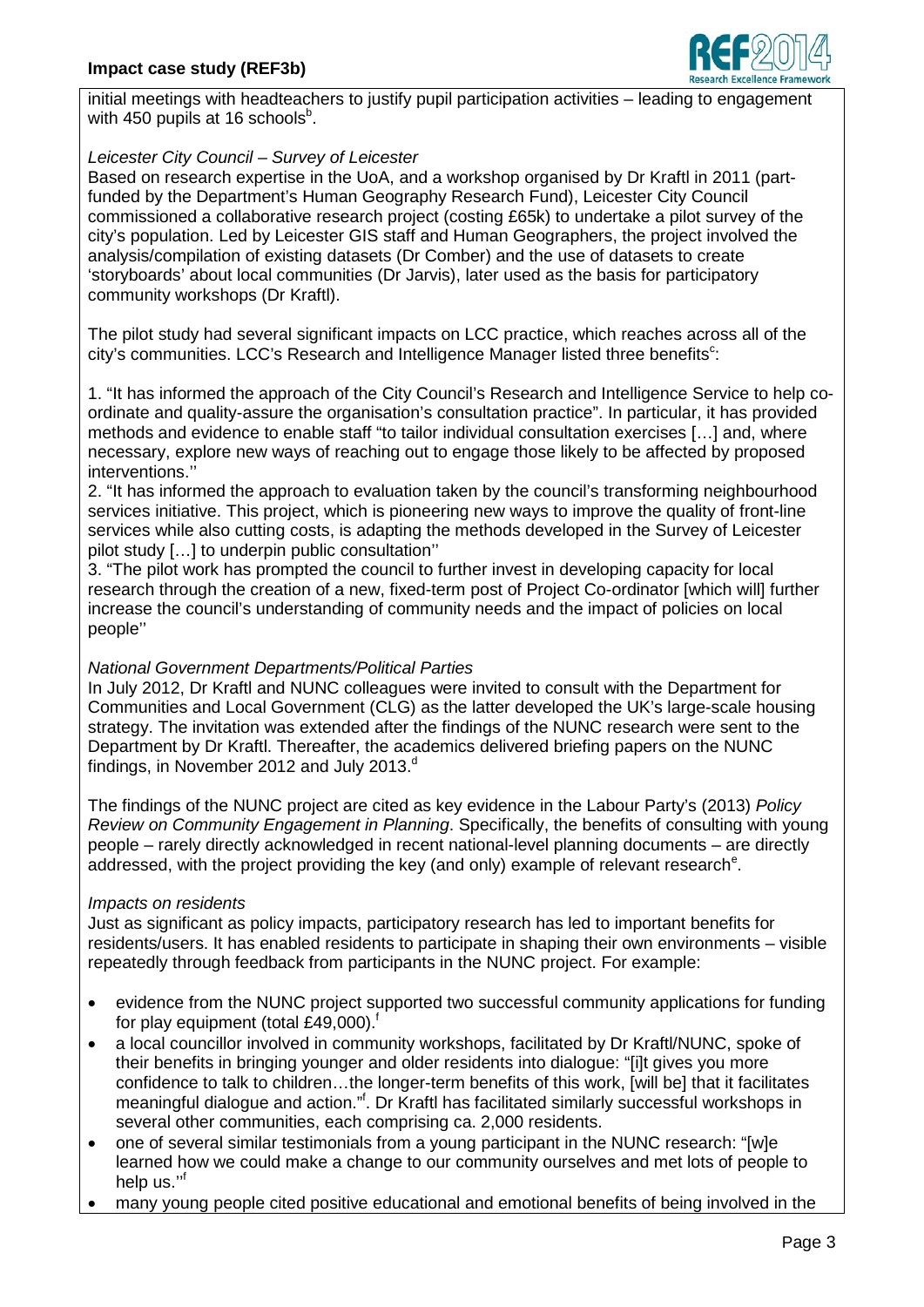

initial meetings with headteachers to justify pupil participation activities – leading to engagement with 450 pupils at 16 schools $^{\rm b}$ .

## *Leicester City Council – Survey of Leicester*

Based on research expertise in the UoA, and a workshop organised by Dr Kraftl in 2011 (partfunded by the Department's Human Geography Research Fund), Leicester City Council commissioned a collaborative research project (costing £65k) to undertake a pilot survey of the city's population. Led by Leicester GIS staff and Human Geographers, the project involved the analysis/compilation of existing datasets (Dr Comber) and the use of datasets to create 'storyboards' about local communities (Dr Jarvis), later used as the basis for participatory community workshops (Dr Kraftl).

The pilot study had several significant impacts on LCC practice, which reaches across all of the city's communities. LCC's Research and Intelligence Manager listed three benefits<sup>c</sup>:

1. "It has informed the approach of the City Council's Research and Intelligence Service to help coordinate and quality-assure the organisation's consultation practice". In particular, it has provided methods and evidence to enable staff "to tailor individual consultation exercises […] and, where necessary, explore new ways of reaching out to engage those likely to be affected by proposed interventions.''

2. "It has informed the approach to evaluation taken by the council's transforming neighbourhood services initiative. This project, which is pioneering new ways to improve the quality of front-line services while also cutting costs, is adapting the methods developed in the Survey of Leicester pilot study […] to underpin public consultation''

3. "The pilot work has prompted the council to further invest in developing capacity for local research through the creation of a new, fixed-term post of Project Co-ordinator [which will] further increase the council's understanding of community needs and the impact of policies on local people''

## *National Government Departments/Political Parties*

In July 2012, Dr Kraftl and NUNC colleagues were invited to consult with the Department for Communities and Local Government (CLG) as the latter developed the UK's large-scale housing strategy. The invitation was extended after the findings of the NUNC research were sent to the Department by Dr Kraftl. Thereafter, the academics delivered briefing papers on the NUNC findings, in November 2012 and July 2013. $d$ 

The findings of the NUNC project are cited as key evidence in the Labour Party's (2013) *Policy Review on Community Engagement in Planning*. Specifically, the benefits of consulting with young people – rarely directly acknowledged in recent national-level planning documents – are directly addressed, with the project providing the key (and only) example of relevant research<sup>e</sup>.

# *Impacts on residents*

Just as significant as policy impacts, participatory research has led to important benefits for residents/users. It has enabled residents to participate in shaping their own environments – visible repeatedly through feedback from participants in the NUNC project. For example:

- evidence from the NUNC project supported two successful community applications for funding for play equipment (total £49,000). $<sup>f</sup>$ </sup>
- a local councillor involved in community workshops, facilitated by Dr Kraftl/NUNC, spoke of their benefits in bringing younger and older residents into dialogue: "[i]t gives you more confidence to talk to children…the longer-term benefits of this work, [will be] that it facilitates meaningful dialogue and action."<sup>f</sup>. Dr Kraftl has facilitated similarly successful workshops in several other communities, each comprising ca. 2,000 residents.
- one of several similar testimonials from a young participant in the NUNC research: "[w]e learned how we could make a change to our community ourselves and met lots of people to help us.'' f
- many young people cited positive educational and emotional benefits of being involved in the